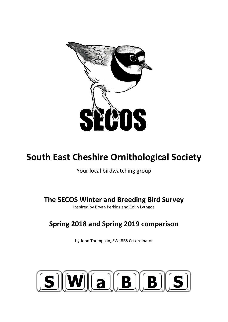

# **South East Cheshire Ornithological Society**

Your local birdwatching group

**The SECOS Winter and Breeding Bird Survey**

Inspired by Bryan Perkins and Colin Lythgoe

## **Spring 2018 and Spring 2019 comparison**

by John Thompson, SWaBBS Co-ordinator

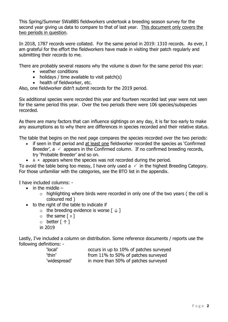This Spring/Summer SWaBBS fieldworkers undertook a breeding season survey for the second year giving us data to compare to that of last year. This document only covers the two periods in question.

In 2018, 1787 records were collated. For the same period in 2019: 1310 records. As ever, I am grateful for the effort the fieldworkers have made in visiting their patch regularly and submitting their records to me.

There are probably several reasons why the volume is down for the same period this year:

- weather conditions
- holidays / time available to visit patch(s)
- health of fieldworker, etc.

Also, one fieldworker didn't submit records for the 2019 period.

Six additional species were recorded this year and fourteen recorded last year were not seen for the same period this year. Over the two periods there were 106 species/subspecies recorded.

As there are many factors that can influence sightings on any day, it is far too early to make any assumptions as to why there are differences in species recorded and their relative status.

The table that begins on the next page compares the species recorded over the two periods:

- if seen in that period and at least one fieldworker recorded the species as 'Confirmed Breeder',  $a \vee a$  appears in the Confirmed column. If no confirmed breeding records, try 'Probable Breeder' and so on.
- $A \times$  appears where the species was not recorded during the period.

To avoid the table being too messy, I have only used a  $\checkmark$  in the highest Breeding Category. For those unfamiliar with the categories, see the BTO list in the appendix.

I have included columns: -

- $\bullet$  in the middle  $-$ 
	- $\circ$  highlighting where birds were recorded in only one of the two years (the cell is coloured red )
- to the right of the table to indicate if
	- $\circ$  the breeding evidence is worse  $[\downarrow]$
	- $\circ$  the same  $\lceil \equiv \rceil$
	- o better [ ↑ ]
	- in 2019

Lastly, I've included a column on distribution. Some reference documents / reports use the following definitions: -

| 'local'      | occurs in up to 10% of patches surveyed |
|--------------|-----------------------------------------|
| 'thin'       | from 11% to 50% of patches surveyed     |
| 'widespread' | in more than 50% of patches surveyed    |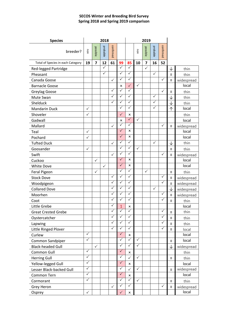### **SECOS Winter and Breeding Bird Survey Spring 2018 and Spring 2019 comparison**

| <b>Species</b>                    | 2018         |                         |              |              |              |                | 2019         |                         |              |              |              |            |
|-----------------------------------|--------------|-------------------------|--------------|--------------|--------------|----------------|--------------|-------------------------|--------------|--------------|--------------|------------|
| breeder?                          | uou          | possible                | probable     | confirmed    |              |                | uou          | possible                | probable     | confirmed    |              |            |
| Total of Species in each Category | 19           | $\overline{\mathbf{z}}$ | 12           | 61           | 99           | 85             | 10           | $\overline{\mathbf{z}}$ | 16           | 52           |              |            |
| Red-legged Partridge              |              |                         | ✓            |              | $\checkmark$ | $\checkmark$   |              | $\checkmark$            |              |              | ↓            | thin       |
| Pheasant                          |              |                         | ✓            |              | $\checkmark$ | $\checkmark$   |              |                         | $\checkmark$ |              | Ξ            | thin       |
| Canada Goose                      |              |                         |              | $\checkmark$ | $\checkmark$ | $\checkmark$   |              |                         |              | $\checkmark$ | Ξ            | widespread |
| <b>Barnacle Goose</b>             |              |                         |              |              | ×            | $\checkmark$   | $\checkmark$ |                         |              |              |              | local      |
| Greylag Goose                     |              |                         |              | $\checkmark$ | ✓            | $\checkmark$   |              |                         |              | ✓            | Ξ            | thin       |
| Mute Swan                         |              |                         |              | $\checkmark$ | $\checkmark$ | $\checkmark$   |              |                         | ✓            |              | ↓            | thin       |
| Shelduck                          |              |                         |              | $\checkmark$ | $\checkmark$ | $\checkmark$   |              |                         | $\checkmark$ |              | ↓            | thin       |
| <b>Mandarin Duck</b>              | $\checkmark$ |                         |              |              | ✓            | $\checkmark$   |              |                         | $\checkmark$ |              | 个            | local      |
| Shoveler                          | $\checkmark$ |                         |              |              | $\checkmark$ | x              |              |                         |              |              |              | thin       |
| Gadwall                           |              |                         |              |              | x            | $\checkmark$   | $\checkmark$ |                         |              |              |              | local      |
| Mallard                           |              |                         |              | ✓            | $\checkmark$ | $\checkmark$   |              |                         |              | $\checkmark$ | Ξ            | widespread |
| Teal                              | $\checkmark$ |                         |              |              | $\checkmark$ | ×              |              |                         |              |              |              | local      |
| Pochard                           | $\checkmark$ |                         |              |              | $\checkmark$ | $\pmb{\times}$ |              |                         |              |              |              | local      |
| <b>Tufted Duck</b>                |              |                         |              | $\checkmark$ | $\checkmark$ | $\checkmark$   |              |                         | $\checkmark$ |              | ↓            | thin       |
| Goosander                         | $\checkmark$ |                         |              |              | $\checkmark$ | $\checkmark$   | ✓            |                         |              |              | Ξ            | thin       |
| Swift                             |              |                         |              | $\checkmark$ | $\checkmark$ | $\checkmark$   |              |                         |              | ✓            | Ξ            | widespread |
| Cuckoo                            |              | $\checkmark$            |              |              | ✓            | x              |              |                         |              |              |              | local      |
| <b>White Dove</b>                 |              |                         | $\checkmark$ |              | ✓            | x              |              |                         |              |              |              | local      |
| Feral Pigeon                      |              | $\checkmark$            |              |              | $\checkmark$ | $\checkmark$   |              | ✓                       |              |              | $\equiv$     | thin       |
| <b>Stock Dove</b>                 |              |                         |              | $\checkmark$ | $\checkmark$ | $\checkmark$   |              |                         |              | $\checkmark$ | $\equiv$     | widespread |
| Woodpigeon                        |              |                         |              | $\checkmark$ | $\checkmark$ | $\checkmark$   |              |                         |              | $\checkmark$ | $\equiv$     | widespread |
| <b>Collared Dove</b>              |              |                         |              | $\checkmark$ | $\checkmark$ | $\checkmark$   |              |                         | $\checkmark$ |              | $\downarrow$ | widespread |
| Moorhen                           |              |                         |              | $\checkmark$ | $\checkmark$ | $\checkmark$   |              |                         |              | ✓            | $\equiv$     | widespread |
| Coot                              |              |                         |              | $\checkmark$ | $\checkmark$ | $\checkmark$   |              |                         |              | $\checkmark$ | Ξ            | thin       |
| Little Grebe                      |              |                         |              | ✓            | $\mathbf{1}$ | ×              |              |                         |              |              |              | local      |
| <b>Great Crested Grebe</b>        |              |                         |              | $\checkmark$ | $\checkmark$ | $\checkmark$   |              |                         |              | ✓            | $\equiv$     | thin       |
| Oystercatcher                     |              |                         |              | $\checkmark$ | $\checkmark$ | $\checkmark$   |              |                         |              | ✓            | $\equiv$     | thin       |
| Lapwing                           |              |                         |              | $\checkmark$ | $\checkmark$ | $\sqrt{}$      |              |                         |              | $\checkmark$ | $\equiv$     | thin       |
| Little Ringed Plover              |              |                         |              | $\checkmark$ | $\checkmark$ | $\checkmark$   |              |                         |              | $\checkmark$ | Ξ            | local      |
| Curlew                            | $\checkmark$ |                         |              |              | $\checkmark$ | x              |              |                         |              |              |              | local      |
| Common Sandpiper                  | $\checkmark$ |                         |              |              | $\checkmark$ | $\sqrt{}$      | $\checkmark$ |                         |              |              | Ξ            | local      |
| <b>Black-headed Gull</b>          |              | $\checkmark$            |              |              | $\checkmark$ | $\checkmark$   | $\checkmark$ |                         |              |              | ↓            | widespread |
| Common Gull                       | $\checkmark$ |                         |              |              | $\checkmark$ | ×              |              |                         |              |              |              | thin       |
| <b>Herring Gull</b>               | $\checkmark$ |                         |              |              | $\checkmark$ | $\checkmark$   | $\checkmark$ |                         |              |              | Ξ            | thin       |
| Yellow-legged Gull                | $\checkmark$ |                         |              |              | $\checkmark$ | $\pmb{\times}$ |              |                         |              |              |              | local      |
| Lesser Black-backed Gull          | $\checkmark$ |                         |              |              | $\checkmark$ | $\checkmark$   | $\checkmark$ |                         |              |              | Ξ            | widespread |
| Common Tern                       | $\checkmark$ |                         |              |              | $\sqrt{}$    | x              |              |                         |              |              |              | local      |
| Cormorant                         | $\checkmark$ |                         |              |              | $\checkmark$ | $\checkmark$   | $\checkmark$ |                         |              |              | Ξ            | thin       |
| Grey Heron                        |              |                         |              | $\checkmark$ | $\checkmark$ | $\checkmark$   |              |                         |              | ✓            | Ξ            | widespread |
| Osprey                            | $\checkmark$ |                         |              |              | $\checkmark$ | ×              |              |                         |              |              |              | local      |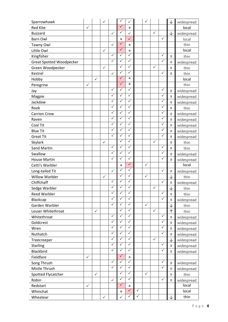| Sparrowhawk                     |              |              | $\checkmark$ |              | ✓            | $\checkmark$   |              | $\checkmark$ |              |              | ↓            | widespread |
|---------------------------------|--------------|--------------|--------------|--------------|--------------|----------------|--------------|--------------|--------------|--------------|--------------|------------|
| <b>Red Kite</b>                 | ✓            |              |              |              | $\checkmark$ | x              |              |              |              |              |              | local      |
| <b>Buzzard</b>                  |              |              |              | $\checkmark$ | $\checkmark$ | $\checkmark$   |              |              | $\checkmark$ |              | ↓            | widespread |
| <b>Barn Owl</b>                 |              |              |              |              | x            | $\checkmark$   |              |              |              | $\checkmark$ |              | local      |
| Tawny Owl                       |              |              |              | $\checkmark$ | $\checkmark$ | ×              |              |              |              |              |              | thin       |
| Little Owl                      |              |              | $\checkmark$ |              | $\checkmark$ | ×              |              |              |              |              |              | local      |
| Kingfisher                      |              |              |              | $\checkmark$ | $\checkmark$ | $\checkmark$   |              |              |              | $\checkmark$ | $\equiv$     | thin       |
| <b>Great Spotted Woodpecker</b> |              |              |              | $\checkmark$ | $\checkmark$ | $\checkmark$   |              |              |              | $\checkmark$ | $\equiv$     | widespread |
| Green Woodpecker                |              |              | $\checkmark$ |              | $\checkmark$ | $\checkmark$   |              |              | ✓            |              | $\equiv$     | thin       |
| Kestrel                         |              |              |              | $\checkmark$ | $\checkmark$ | $\checkmark$   |              |              |              | $\checkmark$ | Ξ            | thin       |
| Hobby                           |              | $\checkmark$ |              |              | $\checkmark$ | ×              |              |              |              |              |              | local      |
| Peregrine                       | ✓            |              |              |              | $\checkmark$ | ×              |              |              |              |              |              | thin       |
| Jay                             |              |              |              | $\checkmark$ | $\checkmark$ | $\checkmark$   |              |              |              | ✓            | $\equiv$     | widespread |
| Magpie                          |              |              |              | $\checkmark$ | $\checkmark$ | $\checkmark$   |              |              |              | ✓            | $\equiv$     | widespread |
| Jackdaw                         |              |              |              | $\checkmark$ | $\checkmark$ | $\checkmark$   |              |              |              | ✓            | $\equiv$     | widespread |
| Rook                            |              |              |              | $\checkmark$ | $\checkmark$ | $\checkmark$   |              |              |              | $\checkmark$ | $\equiv$     | thin       |
| <b>Carrion Crow</b>             |              |              |              | $\checkmark$ | $\checkmark$ | $\checkmark$   |              |              |              | $\checkmark$ | $\equiv$     | widespread |
| Raven                           |              |              |              | $\checkmark$ | $\checkmark$ | $\checkmark$   |              |              |              | ✓            | $\equiv$     | widespread |
| Coal Tit                        |              |              |              | $\checkmark$ | $\checkmark$ | $\checkmark$   |              |              |              | ✓            | $\equiv$     | widespread |
| <b>Blue Tit</b>                 |              |              |              | $\checkmark$ | $\checkmark$ | $\checkmark$   |              |              |              | ✓            | $\equiv$     | widespread |
| <b>Great Tit</b>                |              |              |              | $\checkmark$ | $\checkmark$ | $\checkmark$   |              |              |              | $\checkmark$ | $\equiv$     | widespread |
| Skylark                         |              |              | $\checkmark$ |              | $\checkmark$ | $\checkmark$   |              |              | $\checkmark$ |              | $\equiv$     | thin       |
| <b>Sand Martin</b>              |              |              |              | $\checkmark$ | $\checkmark$ | $\checkmark$   |              |              |              | ✓            | $\equiv$     | thin       |
| Swallow                         |              |              |              | $\checkmark$ | $\checkmark$ | $\checkmark$   |              |              |              | ✓            | $\equiv$     | widespread |
| <b>House Martin</b>             |              |              |              | $\checkmark$ | $\checkmark$ | $\checkmark$   |              |              |              | ✓            | $\equiv$     | widespread |
| Cetti's Warbler                 |              |              |              |              | x            | $\checkmark$   |              | $\checkmark$ |              |              |              | local      |
| Long-tailed Tit                 |              |              |              | $\checkmark$ | $\checkmark$ | $\checkmark$   |              |              |              | $\checkmark$ | $\equiv$     | widespread |
| <b>Willow Warbler</b>           |              |              | $\checkmark$ |              | $\checkmark$ | $\checkmark$   |              | $\checkmark$ |              |              | ↓            | thin       |
| Chiffchaff                      |              |              |              | $\checkmark$ | $\checkmark$ | $\checkmark$   |              |              |              | ✓            | $\equiv$     | widespread |
| Sedge Warbler                   |              |              |              | $\checkmark$ | ✓            | ✓              |              |              | ✓            |              | $\downarrow$ | thin       |
| <b>Reed Warbler</b>             |              |              |              | ✓            | ✓            | $\checkmark$   |              |              |              | ✓            | $\equiv$     | thin       |
| Blackcap                        |              |              |              | $\checkmark$ | $\checkmark$ | $\checkmark$   |              |              |              | $\checkmark$ | $\equiv$     | widespread |
| Garden Warbler                  |              |              |              | $\checkmark$ | $\checkmark$ | $\checkmark$   |              | $\checkmark$ |              |              | $\downarrow$ | thin       |
| Lesser Whitethroat              |              | $\checkmark$ |              |              | $\checkmark$ | $\checkmark$   |              |              | $\checkmark$ |              | 个            | thin       |
| Whitethroat                     |              |              |              | $\checkmark$ | $\checkmark$ | $\checkmark$   |              |              |              | ✓            | $\equiv$     | widespread |
| Goldcrest                       |              |              |              | $\checkmark$ | $\checkmark$ | $\checkmark$   |              |              |              | ✓            | $\equiv$     | widespread |
| Wren                            |              |              |              | $\checkmark$ | $\checkmark$ | $\checkmark$   |              |              |              | ✓            | $\equiv$     | widespread |
| Nuthatch                        |              |              |              | $\checkmark$ | $\checkmark$ | $\checkmark$   |              |              |              | $\checkmark$ | $\equiv$     | widespread |
| Treecreeper                     |              |              |              | $\checkmark$ | $\checkmark$ | $\checkmark$   |              |              | ✓            |              | $\downarrow$ | widespread |
| <b>Starling</b>                 |              |              |              | $\checkmark$ | $\checkmark$ | $\checkmark$   |              |              |              | ✓            | $\equiv$     | widespread |
| <b>Blackbird</b>                |              |              |              | $\checkmark$ | $\checkmark$ | $\checkmark$   |              |              |              | $\checkmark$ | $\equiv$     | widespread |
| Fieldfare                       | ✓            |              |              |              | $\checkmark$ | $\pmb{\times}$ |              |              |              |              |              |            |
| Song Thrush                     |              |              |              | $\checkmark$ | $\checkmark$ | $\checkmark$   |              |              |              | $\checkmark$ | $\equiv$     | widespread |
| Mistle Thrush                   |              |              |              | $\checkmark$ | $\checkmark$ | $\checkmark$   |              |              |              | $\checkmark$ | $\equiv$     | widespread |
| Spotted Flycatcher              |              | $\checkmark$ |              |              | $\checkmark$ | $\checkmark$   |              | $\checkmark$ |              |              | $\equiv$     | thin       |
| Robin                           |              |              |              | $\checkmark$ | $\checkmark$ | $\sqrt{}$      |              |              |              | ✓            | $\equiv$     | widespread |
| Redstart                        | $\checkmark$ |              |              |              | $\checkmark$ | ×              |              |              |              |              |              | local      |
| Whinchat                        |              |              |              |              | ×            | $\sqrt{}$      | $\checkmark$ |              |              |              |              | local      |
| Wheatear                        |              |              | $\checkmark$ |              | $\checkmark$ | $\checkmark$   | $\checkmark$ |              |              |              | ↓            | thin       |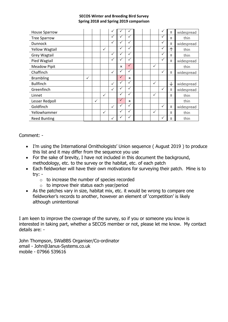#### **SECOS Winter and Breeding Bird Survey Spring 2018 and Spring 2019 comparison**

| <b>House Sparrow</b>  |              |              |              | V            |              |                           |  |              |              | Ξ | widespread |
|-----------------------|--------------|--------------|--------------|--------------|--------------|---------------------------|--|--------------|--------------|---|------------|
| <b>Tree Sparrow</b>   |              |              |              | ✓            | $\checkmark$ | ✓                         |  |              | v            | Ξ | thin       |
| <b>Dunnock</b>        |              |              |              | $\checkmark$ | $\checkmark$ | $\checkmark$              |  |              | $\checkmark$ | Ξ | widespread |
| <b>Yellow Wagtail</b> |              |              | $\checkmark$ |              | $\checkmark$ | $\checkmark$              |  |              | ✓            | 个 | thin       |
| <b>Grey Wagtail</b>   |              |              |              | $\checkmark$ | $\checkmark$ | ✓                         |  |              | v            | Ξ | thin       |
| Pied Wagtail          |              |              |              | $\checkmark$ | $\checkmark$ | $\checkmark$              |  |              | $\check{}$   | Ξ | widespread |
| <b>Meadow Pipit</b>   |              |              |              |              | $\mathbf{x}$ | $\checkmark$              |  | $\checkmark$ |              |   | thin       |
| Chaffinch             |              |              |              | $\checkmark$ | $\checkmark$ | $\checkmark$              |  |              | $\checkmark$ | Ξ | widespread |
| <b>Brambling</b>      | $\checkmark$ |              |              |              | $\checkmark$ | $\boldsymbol{\mathsf{x}}$ |  |              |              |   |            |
| <b>Bullfinch</b>      |              |              |              | $\checkmark$ | $\checkmark$ | ✓                         |  | $\checkmark$ |              | ↓ | widespread |
| Greenfinch            |              |              |              | $\checkmark$ | $\checkmark$ | $\checkmark$              |  |              | $\checkmark$ | Ξ | widespread |
| Linnet                |              |              | $\checkmark$ |              | ✓            | ✓                         |  | ✓            |              | Ξ | thin       |
| Lesser Redpoll        |              | $\checkmark$ |              |              | $\sqrt{}$    | $\mathsf{x}$              |  |              |              |   | thin       |
| Goldfinch             |              |              |              | $\checkmark$ | ✓            | $\checkmark$              |  |              | √            | Ξ | widespread |
| Yellowhammer          |              |              | ✓            |              | $\checkmark$ | $\checkmark$              |  | $\checkmark$ |              | Ξ | thin       |
| <b>Reed Bunting</b>   |              |              |              | $\checkmark$ | $\checkmark$ | ✓                         |  |              | ✓            | Ξ | thin       |

Comment: -

- I'm using the International Ornithologists' Union sequence ( August 2019 ) to produce this list and it may differ from the sequence you use
- For the sake of brevity, I have not included in this document the background, methodology, etc. to the survey or the habitat, etc. of each patch
- Each fieldworker will have their own motivations for surveying their patch. Mine is to try: -
	- $\circ$  to increase the number of species recorded
	- $\circ$  to improve their status each year/period
- As the patches vary in size, habitat mix, etc. it would be wrong to compare one fieldworker's records to another, however an element of 'competition' is likely although unintentional

I am keen to improve the coverage of the survey, so if you or someone you know is interested in taking part, whether a SECOS member or not, please let me know. My contact details are: -

John Thompson, SWaBBS Organiser/Co-ordinator email - John@Janus-Systems.co.uk mobile - 07966 539616